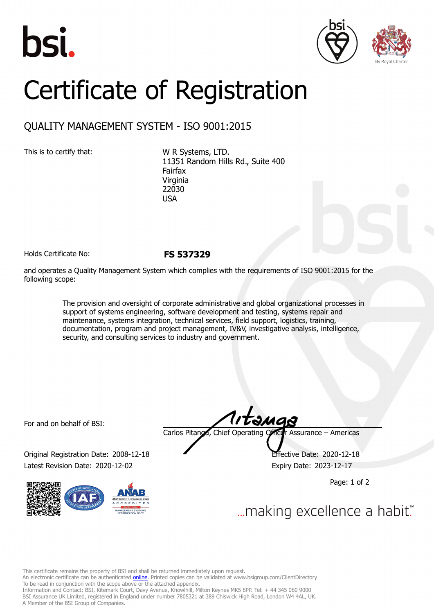





## Certificate of Registration

## QUALITY MANAGEMENT SYSTEM - ISO 9001:2015

This is to certify that: W R Systems, LTD. 11351 Random Hills Rd., Suite 400 Fairfax Virginia 22030 **USA** 

Holds Certificate No: **FS 537329**

and operates a Quality Management System which complies with the requirements of ISO 9001:2015 for the following scope:

> The provision and oversight of corporate administrative and global organizational processes in support of systems engineering, software development and testing, systems repair and maintenance, systems integration, technical services, field support, logistics, training, documentation, program and project management, IV&V, investigative analysis, intelligence, security, and consulting services to industry and government.

For and on behalf of BSI:

Original Registration Date: 2008-12-18 Effective Date: 2020-12-18 Latest Revision Date: 2020-12-02 Expiry Date: 2023-12-17



tamas Carlos Pitanga, Chief Operating Officer Assurance – Americas

Page: 1 of 2

... making excellence a habit."

This certificate remains the property of BSI and shall be returned immediately upon request.

An electronic certificate can be authenticated *[online](https://pgplus.bsigroup.com/CertificateValidation/CertificateValidator.aspx?CertificateNumber=FS+537329&ReIssueDate=02%2f12%2f2020&Template=inc)*. Printed copies can be validated at www.bsigroup.com/ClientDirectory To be read in conjunction with the scope above or the attached appendix.

Information and Contact: BSI, Kitemark Court, Davy Avenue, Knowlhill, Milton Keynes MK5 8PP. Tel: + 44 345 080 9000 BSI Assurance UK Limited, registered in England under number 7805321 at 389 Chiswick High Road, London W4 4AL, UK. A Member of the BSI Group of Companies.